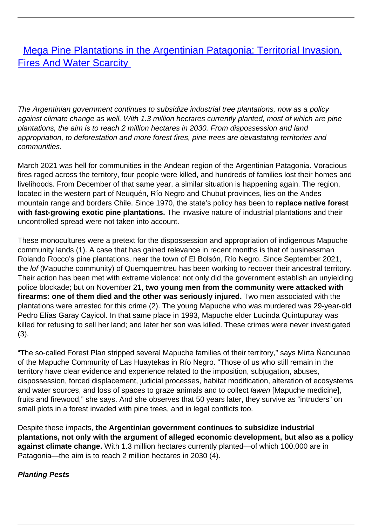[Mega Pine Plantations in the Argentinian Patagonia: Territorial Invasion,](/bulletin-articles/mega-pine-plantations-in-the-argentinian-patagonia-territorial-invasion-fires-and-water-scarcity) **[Fires And Water Scarcity](/bulletin-articles/mega-pine-plantations-in-the-argentinian-patagonia-territorial-invasion-fires-and-water-scarcity)** 

The Argentinian government continues to subsidize industrial tree plantations, now as a policy against climate change as well. With 1.3 million hectares currently planted, most of which are pine plantations, the aim is to reach 2 million hectares in 2030. From dispossession and land appropriation, to deforestation and more forest fires, pine trees are devastating territories and communities.

March 2021 was hell for communities in the Andean region of the Argentinian Patagonia. Voracious fires raged across the territory, four people were killed, and hundreds of families lost their homes and livelihoods. From December of that same year, a similar situation is happening again. The region, located in the western part of Neuquén, Río Negro and Chubut provinces, lies on the Andes mountain range and borders Chile. Since 1970, the state's policy has been to **replace native forest with fast-growing exotic pine plantations.** The invasive nature of industrial plantations and their uncontrolled spread were not taken into account.

These monocultures were a pretext for the dispossession and appropriation of indigenous Mapuche community lands (1). A case that has gained relevance in recent months is that of businessman Rolando Rocco's pine plantations, near the town of El Bolsón, Río Negro. Since September 2021, the lof (Mapuche community) of Quemquemtreu has been working to recover their ancestral territory. Their action has been met with extreme violence: not only did the government establish an unyielding police blockade; but on November 21, **two young men from the community were attacked with firearms: one of them died and the other was seriously injured.** Two men associated with the plantations were arrested for this crime (2). The young Mapuche who was murdered was 29-year-old Pedro Elías Garay Cayicol. In that same place in 1993, Mapuche elder Lucinda Quintupuray was killed for refusing to sell her land; and later her son was killed. These crimes were never investigated (3).

"The so-called Forest Plan stripped several Mapuche families of their territory," says Mirta Ñancunao of the Mapuche Community of Las Huaytekas in Río Negro. "Those of us who still remain in the territory have clear evidence and experience related to the imposition, subjugation, abuses, dispossession, forced displacement, judicial processes, habitat modification, alteration of ecosystems and water sources, and loss of spaces to graze animals and to collect lawen [Mapuche medicine], fruits and firewood," she says. And she observes that 50 years later, they survive as "intruders" on small plots in a forest invaded with pine trees, and in legal conflicts too.

Despite these impacts, **the Argentinian government continues to subsidize industrial plantations, not only with the argument of alleged economic development, but also as a policy against climate change.** With 1.3 million hectares currently planted—of which 100,000 are in Patagonia—the aim is to reach 2 million hectares in 2030 (4).

### **Planting Pests**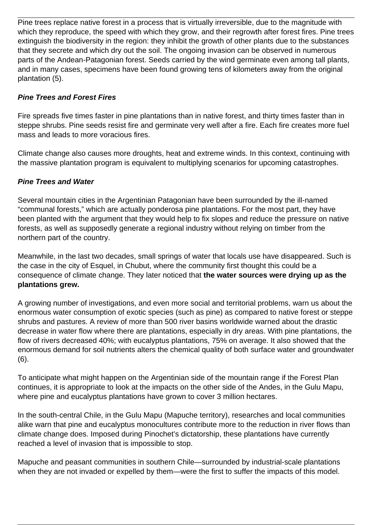Pine trees replace native forest in a process that is virtually irreversible, due to the magnitude with which they reproduce, the speed with which they grow, and their regrowth after forest fires. Pine trees extinguish the biodiversity in the region: they inhibit the growth of other plants due to the substances that they secrete and which dry out the soil. The ongoing invasion can be observed in numerous parts of the Andean-Patagonian forest. Seeds carried by the wind germinate even among tall plants, and in many cases, specimens have been found growing tens of kilometers away from the original plantation (5).

# **Pine Trees and Forest Fires**

Fire spreads five times faster in pine plantations than in native forest, and thirty times faster than in steppe shrubs. Pine seeds resist fire and germinate very well after a fire. Each fire creates more fuel mass and leads to more voracious fires.

Climate change also causes more droughts, heat and extreme winds. In this context, continuing with the massive plantation program is equivalent to multiplying scenarios for upcoming catastrophes.

# **Pine Trees and Water**

Several mountain cities in the Argentinian Patagonian have been surrounded by the ill-named "communal forests," which are actually ponderosa pine plantations. For the most part, they have been planted with the argument that they would help to fix slopes and reduce the pressure on native forests, as well as supposedly generate a regional industry without relying on timber from the northern part of the country.

Meanwhile, in the last two decades, small springs of water that locals use have disappeared. Such is the case in the city of Esquel, in Chubut, where the community first thought this could be a consequence of climate change. They later noticed that **the water sources were drying up as the plantations grew.**

A growing number of investigations, and even more social and territorial problems, warn us about the enormous water consumption of exotic species (such as pine) as compared to native forest or steppe shrubs and pastures. A review of more than 500 river basins worldwide warned about the drastic decrease in water flow where there are plantations, especially in dry areas. With pine plantations, the flow of rivers decreased 40%; with eucalyptus plantations, 75% on average. It also showed that the enormous demand for soil nutrients alters the chemical quality of both surface water and groundwater (6).

To anticipate what might happen on the Argentinian side of the mountain range if the Forest Plan continues, it is appropriate to look at the impacts on the other side of the Andes, in the Gulu Mapu, where pine and eucalyptus plantations have grown to cover 3 million hectares.

In the south-central Chile, in the Gulu Mapu (Mapuche territory), researches and local communities alike warn that pine and eucalyptus monocultures contribute more to the reduction in river flows than climate change does. Imposed during Pinochet's dictatorship, these plantations have currently reached a level of invasion that is impossible to stop.

Mapuche and peasant communities in southern Chile—surrounded by industrial-scale plantations when they are not invaded or expelled by them—were the first to suffer the impacts of this model.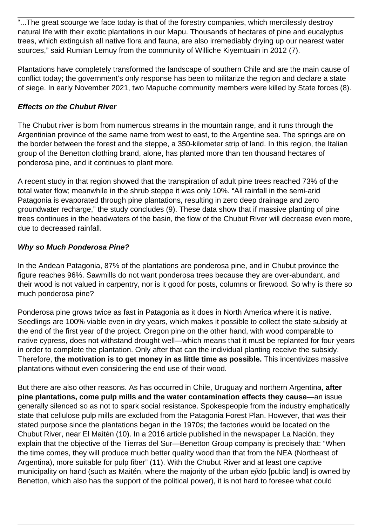"...The great scourge we face today is that of the forestry companies, which mercilessly destroy natural life with their exotic plantations in our Mapu. Thousands of hectares of pine and eucalyptus trees, which extinguish all native flora and fauna, are also irremediably drying up our nearest water sources," said Rumian Lemuy from the community of Williche Kiyemtuain in 2012 (7).

Plantations have completely transformed the landscape of southern Chile and are the main cause of conflict today; the government's only response has been to militarize the region and declare a state of siege. In early November 2021, two Mapuche community members were killed by State forces (8).

## **Effects on the Chubut River**

The Chubut river is born from numerous streams in the mountain range, and it runs through the Argentinian province of the same name from west to east, to the Argentine sea. The springs are on the border between the forest and the steppe, a 350-kilometer strip of land. In this region, the Italian group of the Benetton clothing brand, alone, has planted more than ten thousand hectares of ponderosa pine, and it continues to plant more.

A recent study in that region showed that the transpiration of adult pine trees reached 73% of the total water flow; meanwhile in the shrub steppe it was only 10%. "All rainfall in the semi-arid Patagonia is evaporated through pine plantations, resulting in zero deep drainage and zero groundwater recharge," the study concludes (9). These data show that if massive planting of pine trees continues in the headwaters of the basin, the flow of the Chubut River will decrease even more, due to decreased rainfall.

## **Why so Much Ponderosa Pine?**

In the Andean Patagonia, 87% of the plantations are ponderosa pine, and in Chubut province the figure reaches 96%. Sawmills do not want ponderosa trees because they are over-abundant, and their wood is not valued in carpentry, nor is it good for posts, columns or firewood. So why is there so much ponderosa pine?

Ponderosa pine grows twice as fast in Patagonia as it does in North America where it is native. Seedlings are 100% viable even in dry years, which makes it possible to collect the state subsidy at the end of the first year of the project. Oregon pine on the other hand, with wood comparable to native cypress, does not withstand drought well—which means that it must be replanted for four years in order to complete the plantation. Only after that can the individual planting receive the subsidy. Therefore, **the motivation is to get money in as little time as possible.** This incentivizes massive plantations without even considering the end use of their wood.

But there are also other reasons. As has occurred in Chile, Uruguay and northern Argentina, **after pine plantations, come pulp mills and the water contamination effects they cause**—an issue generally silenced so as not to spark social resistance. Spokespeople from the industry emphatically state that cellulose pulp mills are excluded from the Patagonia Forest Plan. However, that was their stated purpose since the plantations began in the 1970s; the factories would be located on the Chubut River, near El Maitén (10). In a 2016 article published in the newspaper La Nación, they explain that the objective of the Tierras del Sur—Benetton Group company is precisely that: "When the time comes, they will produce much better quality wood than that from the NEA (Northeast of Argentina), more suitable for pulp fiber" (11). With the Chubut River and at least one captive municipality on hand (such as Maitén, where the majority of the urban ejido [public land] is owned by Benetton, which also has the support of the political power), it is not hard to foresee what could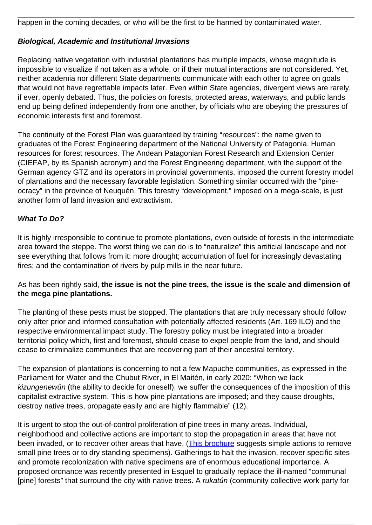happen in the coming decades, or who will be the first to be harmed by contaminated water.

### **Biological, Academic and Institutional Invasions**

Replacing native vegetation with industrial plantations has multiple impacts, whose magnitude is impossible to visualize if not taken as a whole, or if their mutual interactions are not considered. Yet, neither academia nor different State departments communicate with each other to agree on goals that would not have regrettable impacts later. Even within State agencies, divergent views are rarely, if ever, openly debated. Thus, the policies on forests, protected areas, waterways, and public lands end up being defined independently from one another, by officials who are obeying the pressures of economic interests first and foremost.

The continuity of the Forest Plan was guaranteed by training "resources": the name given to graduates of the Forest Engineering department of the National University of Patagonia. Human resources for forest resources. The Andean Patagonian Forest Research and Extension Center (CIEFAP, by its Spanish acronym) and the Forest Engineering department, with the support of the German agency GTZ and its operators in provincial governments, imposed the current forestry model of plantations and the necessary favorable legislation. Something similar occurred with the "pineocracy" in the province of Neuquén. This forestry "development," imposed on a mega-scale, is just another form of land invasion and extractivism.

### **What To Do?**

It is highly irresponsible to continue to promote plantations, even outside of forests in the intermediate area toward the steppe. The worst thing we can do is to "naturalize" this artificial landscape and not see everything that follows from it: more drought; accumulation of fuel for increasingly devastating fires; and the contamination of rivers by pulp mills in the near future.

As has been rightly said, **the issue is not the pine trees, the issue is the scale and dimension of the mega pine plantations.**

The planting of these pests must be stopped. The plantations that are truly necessary should follow only after prior and informed consultation with potentially affected residents (Art. 169 ILO) and the respective environmental impact study. The forestry policy must be integrated into a broader territorial policy which, first and foremost, should cease to expel people from the land, and should cease to criminalize communities that are recovering part of their ancestral territory.

The expansion of plantations is concerning to not a few Mapuche communities, as expressed in the Parliament for Water and the Chubut River, in El Maitén, in early 2020: "When we lack kizungenewün (the ability to decide for oneself), we suffer the consequences of the imposition of this capitalist extractive system. This is how pine plantations are imposed; and they cause droughts, destroy native trees, propagate easily and are highly flammable" (12).

It is urgent to stop the out-of-control proliferation of pine trees in many areas. Individual, neighborhood and collective actions are important to stop the propagation in areas that have not been invaded, or to recover other areas that have. ([This brochure](https://wrm.us9.list-manage.com/track/click?u=f91b651f7fecdf835b57dc11d&id=cc797a3ed2&e=08ad7e6520) suggests simple actions to remove small pine trees or to dry standing specimens). Gatherings to halt the invasion, recover specific sites and promote recolonization with native specimens are of enormous educational importance. A proposed ordnance was recently presented in Esquel to gradually replace the ill-named "communal [pine] forests" that surround the city with native trees. A *rukatún* (community collective work party for